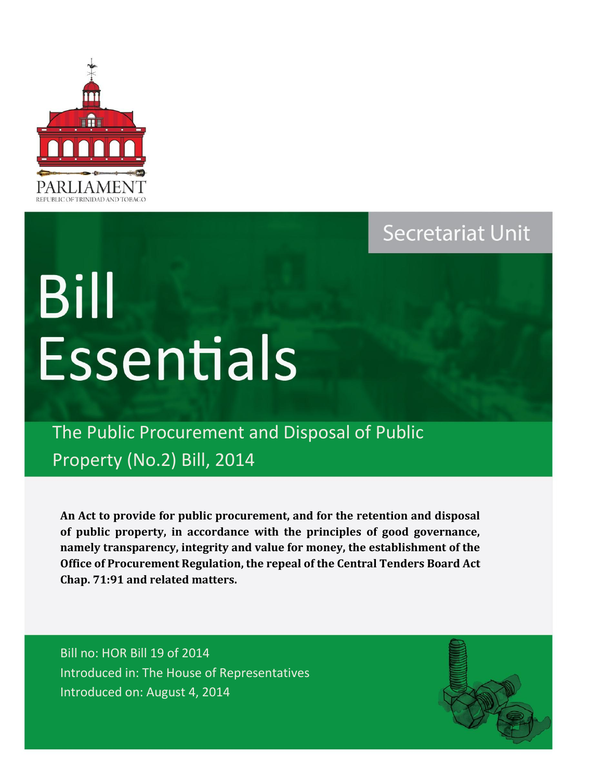

# **Secretariat Unit**

# Bill Essentials

The Public Procurement and Disposal of Public Property (No.2) Bill, 2014

**An Act to provide for public procurement, and for the retention and disposal of public property, in accordance with the principles of good governance, namely transparency, integrity and value for money, the establishment of the Office of Procurement Regulation, the repeal of the Central Tenders Board Act Chap. 71:91 and related matters.** 

Bill no: HOR Bill 19 of 2014 Introduced in: The House of Representatives Introduced on: August 4, 2014

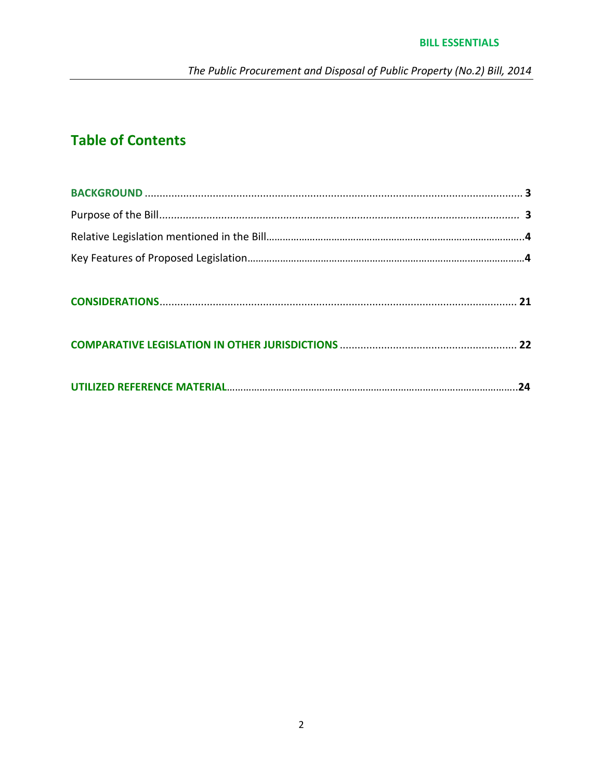*The Public Procurement and Disposal of Public Property (No.2) Bill, 2014*

# **Table of Contents**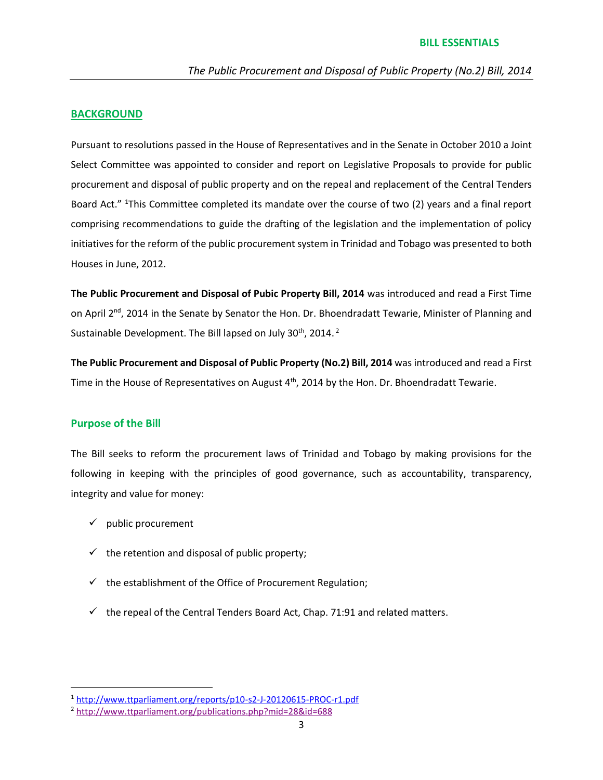# **BACKGROUND**

Pursuant to resolutions passed in the House of Representatives and in the Senate in October 2010 a Joint Select Committee was appointed to consider and report on Legislative Proposals to provide for public procurement and disposal of public property and on the repeal and replacement of the Central Tenders Board Act." <sup>1</sup>This Committee completed its mandate over the course of two (2) years and a final report comprising recommendations to guide the drafting of the legislation and the implementation of policy initiatives for the reform of the public procurement system in Trinidad and Tobago was presented to both Houses in June, 2012.

**The Public Procurement and Disposal of Pubic Property Bill, 2014** was introduced and read a First Time on April  $2<sup>nd</sup>$ , 2014 in the Senate by Senator the Hon. Dr. Bhoendradatt Tewarie, Minister of Planning and Sustainable Development. The Bill lapsed on July  $30<sup>th</sup>$ , 2014.<sup>2</sup>

**The Public Procurement and Disposal of Public Property (No.2) Bill, 2014** was introduced and read a First Time in the House of Representatives on August  $4^{\text{th}}$ , 2014 by the Hon. Dr. Bhoendradatt Tewarie.

# **Purpose of the Bill**

 $\overline{a}$ 

The Bill seeks to reform the procurement laws of Trinidad and Tobago by making provisions for the following in keeping with the principles of good governance, such as accountability, transparency, integrity and value for money:

- $\checkmark$  public procurement
- $\checkmark$  the retention and disposal of public property;
- $\checkmark$  the establishment of the Office of Procurement Regulation;
- $\checkmark$  the repeal of the Central Tenders Board Act, Chap. 71:91 and related matters.

<sup>1</sup> <http://www.ttparliament.org/reports/p10-s2-J-20120615-PROC-r1.pdf>

<sup>2</sup> <http://www.ttparliament.org/publications.php?mid=28&id=688>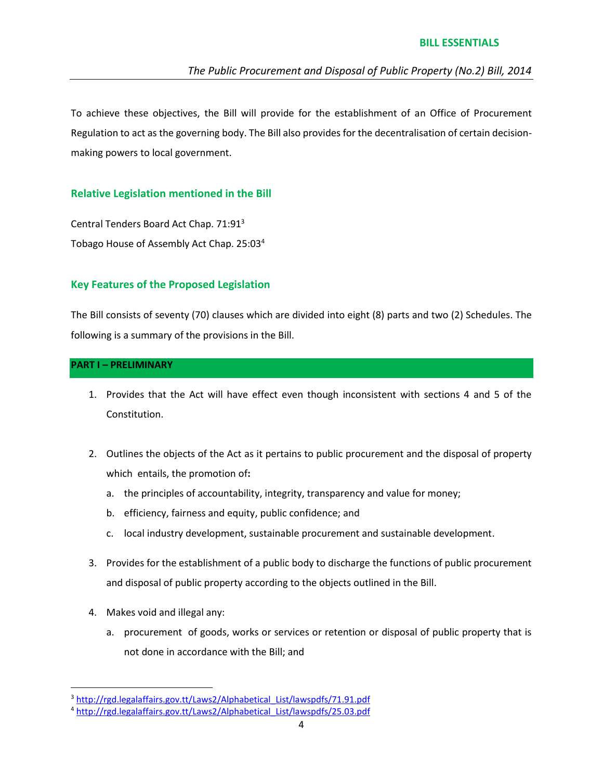# *The Public Procurement and Disposal of Public Property (No.2) Bill, 2014*

To achieve these objectives, the Bill will provide for the establishment of an Office of Procurement Regulation to act as the governing body. The Bill also provides for the decentralisation of certain decisionmaking powers to local government.

## **Relative Legislation mentioned in the Bill**

Central Tenders Board Act Chap. 71:91<sup>3</sup> Tobago House of Assembly Act Chap. 25:03<sup>4</sup>

# **Key Features of the Proposed Legislation**

The Bill consists of seventy (70) clauses which are divided into eight (8) parts and two (2) Schedules. The following is a summary of the provisions in the Bill.

# **PART I – PRELIMINARY**

- 1. Provides that the Act will have effect even though inconsistent with sections 4 and 5 of the Constitution.
- 2. Outlines the objects of the Act as it pertains to public procurement and the disposal of property which entails, the promotion of**:**
	- a. the principles of accountability, integrity, transparency and value for money;
	- b. efficiency, fairness and equity, public confidence; and
	- c. local industry development, sustainable procurement and sustainable development.
- 3. Provides for the establishment of a public body to discharge the functions of public procurement and disposal of public property according to the objects outlined in the Bill.
- 4. Makes void and illegal any:

 $\overline{a}$ 

a. procurement of goods, works or services or retention or disposal of public property that is not done in accordance with the Bill; and

<sup>&</sup>lt;sup>3</sup> [http://rgd.legalaffairs.gov.tt/Laws2/Alphabetical\\_List/lawspdfs/71.91.pdf](http://rgd.legalaffairs.gov.tt/Laws2/Alphabetical_List/lawspdfs/71.91.pdf)

<sup>4</sup> [http://rgd.legalaffairs.gov.tt/Laws2/Alphabetical\\_List/lawspdfs/25.03.pdf](http://rgd.legalaffairs.gov.tt/Laws2/Alphabetical_List/lawspdfs/25.03.pdf)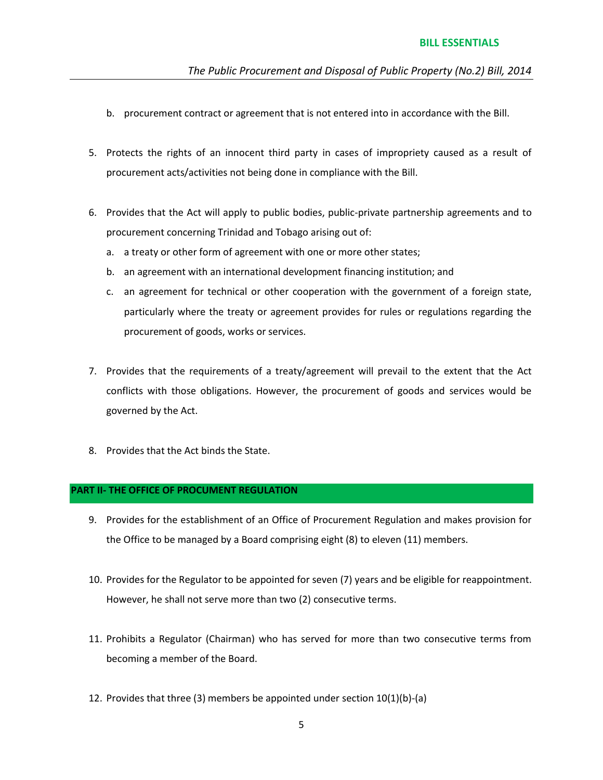- b. procurement contract or agreement that is not entered into in accordance with the Bill.
- 5. Protects the rights of an innocent third party in cases of impropriety caused as a result of procurement acts/activities not being done in compliance with the Bill.
- 6. Provides that the Act will apply to public bodies, public-private partnership agreements and to procurement concerning Trinidad and Tobago arising out of:
	- a. a treaty or other form of agreement with one or more other states;
	- b. an agreement with an international development financing institution; and
	- c. an agreement for technical or other cooperation with the government of a foreign state, particularly where the treaty or agreement provides for rules or regulations regarding the procurement of goods, works or services.
- 7. Provides that the requirements of a treaty/agreement will prevail to the extent that the Act conflicts with those obligations. However, the procurement of goods and services would be governed by the Act.
- 8. Provides that the Act binds the State.

#### **PART II- THE OFFICE OF PROCUMENT REGULATION**

- 9. Provides for the establishment of an Office of Procurement Regulation and makes provision for the Office to be managed by a Board comprising eight (8) to eleven (11) members.
- 10. Provides for the Regulator to be appointed for seven (7) years and be eligible for reappointment. However, he shall not serve more than two (2) consecutive terms.
- 11. Prohibits a Regulator (Chairman) who has served for more than two consecutive terms from becoming a member of the Board.
- 12. Provides that three (3) members be appointed under section 10(1)(b)-(a)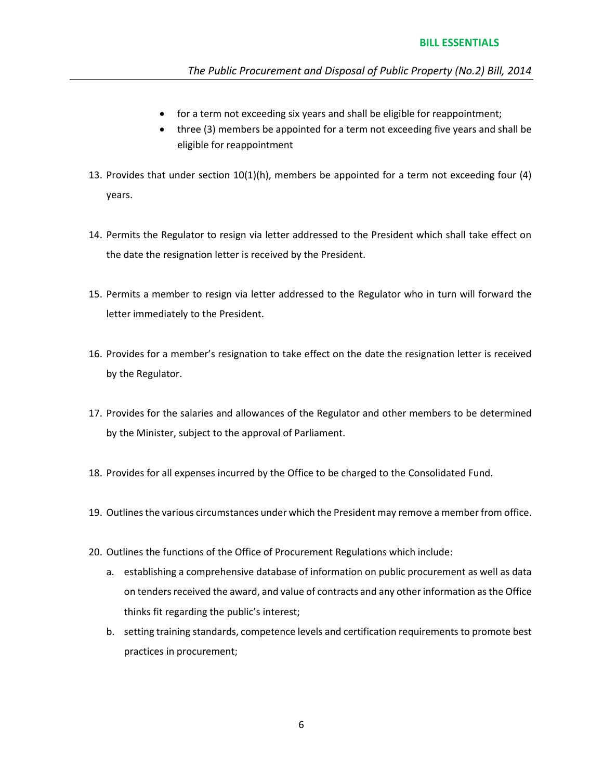- for a term not exceeding six years and shall be eligible for reappointment;
- three (3) members be appointed for a term not exceeding five years and shall be eligible for reappointment
- 13. Provides that under section 10(1)(h), members be appointed for a term not exceeding four (4) years.
- 14. Permits the Regulator to resign via letter addressed to the President which shall take effect on the date the resignation letter is received by the President.
- 15. Permits a member to resign via letter addressed to the Regulator who in turn will forward the letter immediately to the President.
- 16. Provides for a member's resignation to take effect on the date the resignation letter is received by the Regulator.
- 17. Provides for the salaries and allowances of the Regulator and other members to be determined by the Minister, subject to the approval of Parliament.
- 18. Provides for all expenses incurred by the Office to be charged to the Consolidated Fund.
- 19. Outlines the various circumstances under which the President may remove a member from office.
- 20. Outlines the functions of the Office of Procurement Regulations which include:
	- a. establishing a comprehensive database of information on public procurement as well as data on tenders received the award, and value of contracts and any other information as the Office thinks fit regarding the public's interest;
	- b. setting training standards, competence levels and certification requirements to promote best practices in procurement;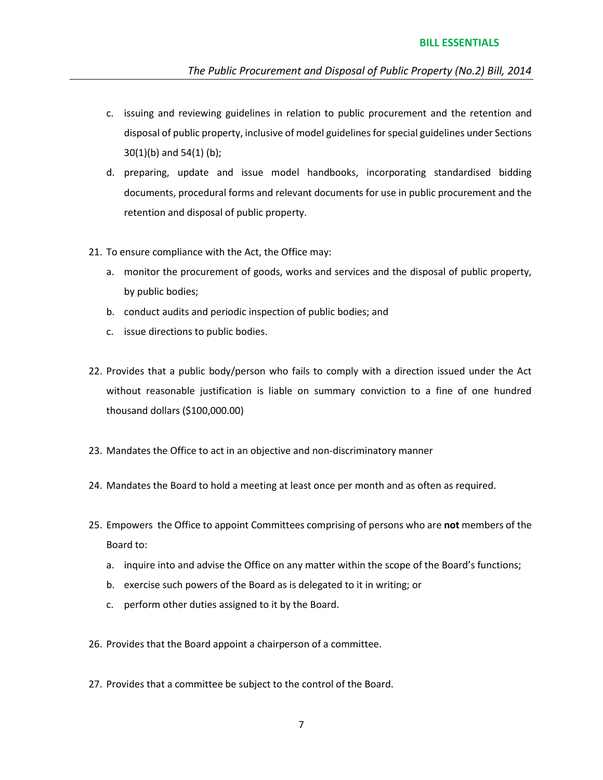- c. issuing and reviewing guidelines in relation to public procurement and the retention and disposal of public property, inclusive of model guidelines for special guidelines under Sections 30(1)(b) and 54(1) (b);
- d. preparing, update and issue model handbooks, incorporating standardised bidding documents, procedural forms and relevant documents for use in public procurement and the retention and disposal of public property.
- 21. To ensure compliance with the Act, the Office may:
	- a. monitor the procurement of goods, works and services and the disposal of public property, by public bodies;
	- b. conduct audits and periodic inspection of public bodies; and
	- c. issue directions to public bodies.
- 22. Provides that a public body/person who fails to comply with a direction issued under the Act without reasonable justification is liable on summary conviction to a fine of one hundred thousand dollars (\$100,000.00)
- 23. Mandates the Office to act in an objective and non-discriminatory manner
- 24. Mandates the Board to hold a meeting at least once per month and as often as required.
- 25. Empowers the Office to appoint Committees comprising of persons who are **not** members of the Board to:
	- a. inquire into and advise the Office on any matter within the scope of the Board's functions;
	- b. exercise such powers of the Board as is delegated to it in writing; or
	- c. perform other duties assigned to it by the Board.
- 26. Provides that the Board appoint a chairperson of a committee.
- 27. Provides that a committee be subject to the control of the Board.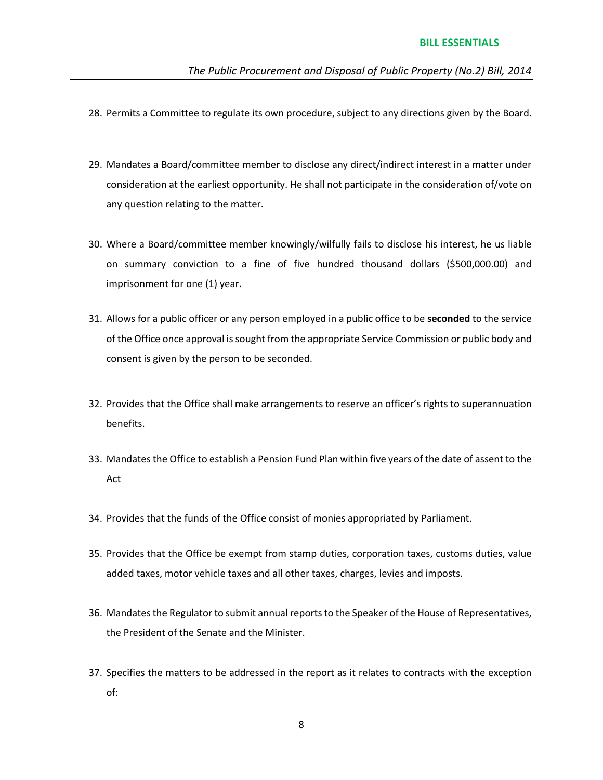- 28. Permits a Committee to regulate its own procedure, subject to any directions given by the Board.
- 29. Mandates a Board/committee member to disclose any direct/indirect interest in a matter under consideration at the earliest opportunity. He shall not participate in the consideration of/vote on any question relating to the matter.
- 30. Where a Board/committee member knowingly/wilfully fails to disclose his interest, he us liable on summary conviction to a fine of five hundred thousand dollars (\$500,000.00) and imprisonment for one (1) year.
- 31. Allows for a public officer or any person employed in a public office to be **seconded** to the service of the Office once approval is sought from the appropriate Service Commission or public body and consent is given by the person to be seconded.
- 32. Provides that the Office shall make arrangements to reserve an officer's rights to superannuation benefits.
- 33. Mandates the Office to establish a Pension Fund Plan within five years of the date of assent to the Act
- 34. Provides that the funds of the Office consist of monies appropriated by Parliament.
- 35. Provides that the Office be exempt from stamp duties, corporation taxes, customs duties, value added taxes, motor vehicle taxes and all other taxes, charges, levies and imposts.
- 36. Mandates the Regulator to submit annual reports to the Speaker of the House of Representatives, the President of the Senate and the Minister.
- 37. Specifies the matters to be addressed in the report as it relates to contracts with the exception of: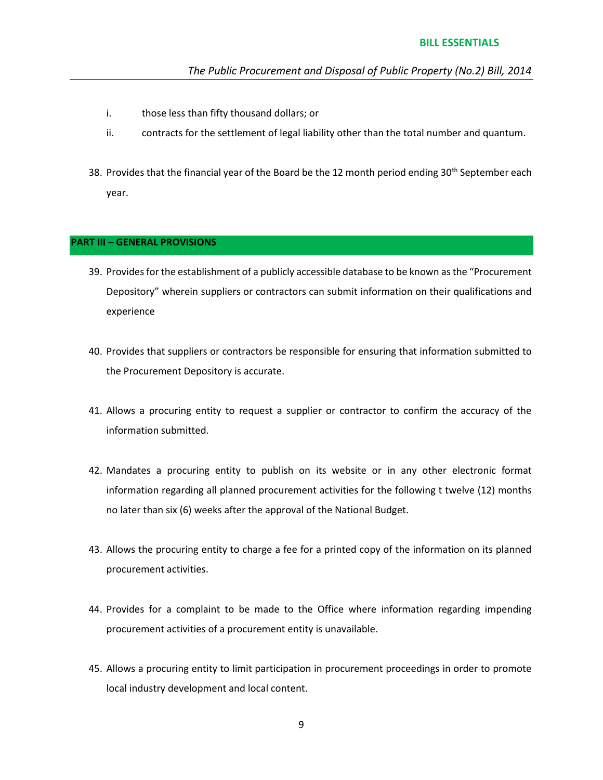*The Public Procurement and Disposal of Public Property (No.2) Bill, 2014*

- i. those less than fifty thousand dollars; or
- ii. contracts for the settlement of legal liability other than the total number and quantum.
- 38. Provides that the financial year of the Board be the 12 month period ending 30<sup>th</sup> September each year.

### **PART III – GENERAL PROVISIONS**

- 39. Provides for the establishment of a publicly accessible database to be known as the "Procurement Depository" wherein suppliers or contractors can submit information on their qualifications and experience
- 40. Provides that suppliers or contractors be responsible for ensuring that information submitted to the Procurement Depository is accurate.
- 41. Allows a procuring entity to request a supplier or contractor to confirm the accuracy of the information submitted.
- 42. Mandates a procuring entity to publish on its website or in any other electronic format information regarding all planned procurement activities for the following t twelve (12) months no later than six (6) weeks after the approval of the National Budget.
- 43. Allows the procuring entity to charge a fee for a printed copy of the information on its planned procurement activities.
- 44. Provides for a complaint to be made to the Office where information regarding impending procurement activities of a procurement entity is unavailable.
- 45. Allows a procuring entity to limit participation in procurement proceedings in order to promote local industry development and local content.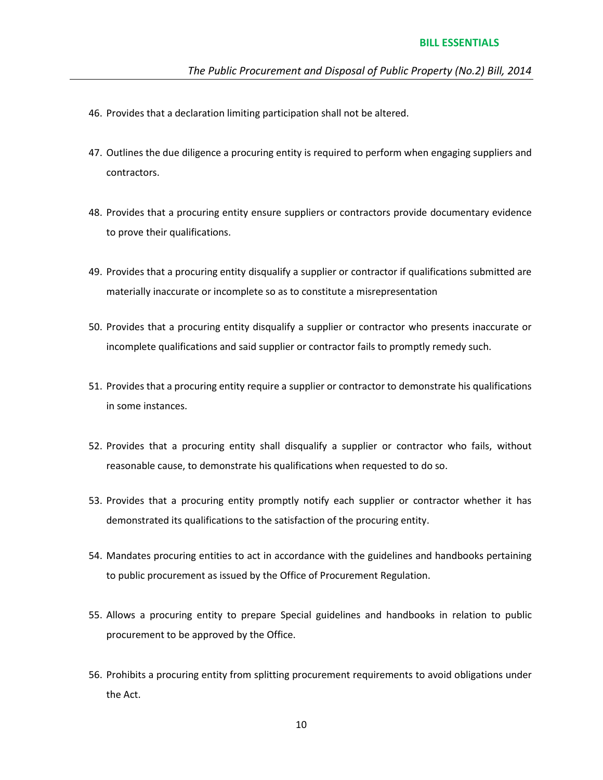- 46. Provides that a declaration limiting participation shall not be altered.
- 47. Outlines the due diligence a procuring entity is required to perform when engaging suppliers and contractors.
- 48. Provides that a procuring entity ensure suppliers or contractors provide documentary evidence to prove their qualifications.
- 49. Provides that a procuring entity disqualify a supplier or contractor if qualifications submitted are materially inaccurate or incomplete so as to constitute a misrepresentation
- 50. Provides that a procuring entity disqualify a supplier or contractor who presents inaccurate or incomplete qualifications and said supplier or contractor fails to promptly remedy such.
- 51. Provides that a procuring entity require a supplier or contractor to demonstrate his qualifications in some instances.
- 52. Provides that a procuring entity shall disqualify a supplier or contractor who fails, without reasonable cause, to demonstrate his qualifications when requested to do so.
- 53. Provides that a procuring entity promptly notify each supplier or contractor whether it has demonstrated its qualifications to the satisfaction of the procuring entity.
- 54. Mandates procuring entities to act in accordance with the guidelines and handbooks pertaining to public procurement as issued by the Office of Procurement Regulation.
- 55. Allows a procuring entity to prepare Special guidelines and handbooks in relation to public procurement to be approved by the Office.
- 56. Prohibits a procuring entity from splitting procurement requirements to avoid obligations under the Act.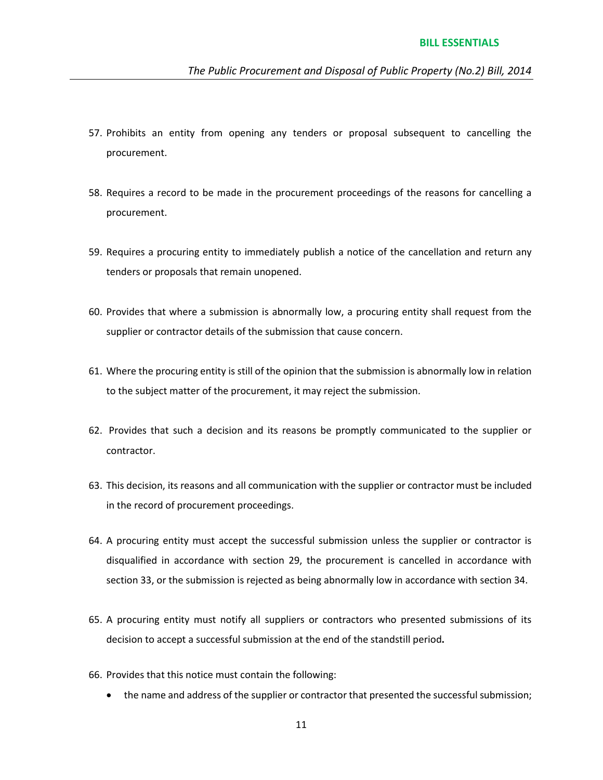- 57. Prohibits an entity from opening any tenders or proposal subsequent to cancelling the procurement.
- 58. Requires a record to be made in the procurement proceedings of the reasons for cancelling a procurement.
- 59. Requires a procuring entity to immediately publish a notice of the cancellation and return any tenders or proposals that remain unopened.
- 60. Provides that where a submission is abnormally low, a procuring entity shall request from the supplier or contractor details of the submission that cause concern.
- 61. Where the procuring entity is still of the opinion that the submission is abnormally low in relation to the subject matter of the procurement, it may reject the submission.
- 62. Provides that such a decision and its reasons be promptly communicated to the supplier or contractor.
- 63. This decision, its reasons and all communication with the supplier or contractor must be included in the record of procurement proceedings.
- 64. A procuring entity must accept the successful submission unless the supplier or contractor is disqualified in accordance with section 29, the procurement is cancelled in accordance with section 33, or the submission is rejected as being abnormally low in accordance with section 34.
- 65. A procuring entity must notify all suppliers or contractors who presented submissions of its decision to accept a successful submission at the end of the standstill period**.**
- 66. Provides that this notice must contain the following:
	- the name and address of the supplier or contractor that presented the successful submission;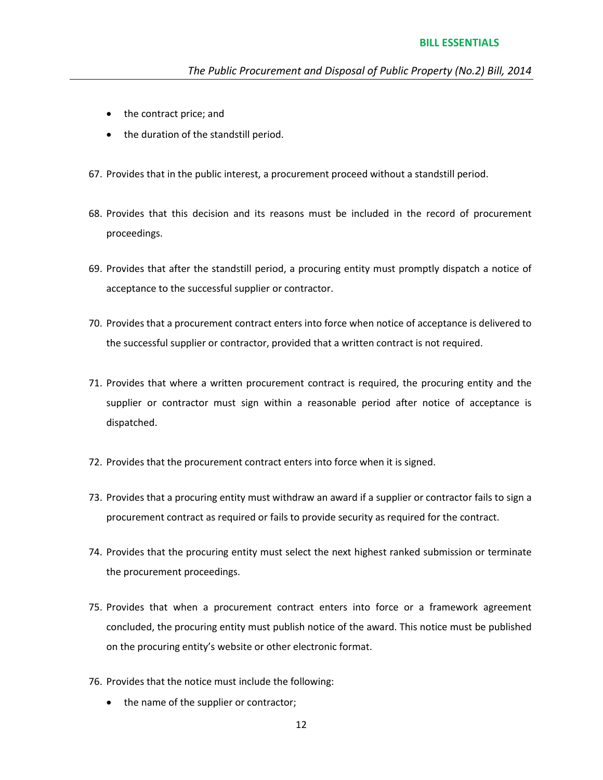- the contract price; and
- the duration of the standstill period.
- 67. Provides that in the public interest, a procurement proceed without a standstill period.
- 68. Provides that this decision and its reasons must be included in the record of procurement proceedings.
- 69. Provides that after the standstill period, a procuring entity must promptly dispatch a notice of acceptance to the successful supplier or contractor.
- 70. Provides that a procurement contract enters into force when notice of acceptance is delivered to the successful supplier or contractor, provided that a written contract is not required.
- 71. Provides that where a written procurement contract is required, the procuring entity and the supplier or contractor must sign within a reasonable period after notice of acceptance is dispatched.
- 72. Provides that the procurement contract enters into force when it is signed.
- 73. Provides that a procuring entity must withdraw an award if a supplier or contractor fails to sign a procurement contract as required or fails to provide security as required for the contract.
- 74. Provides that the procuring entity must select the next highest ranked submission or terminate the procurement proceedings.
- 75. Provides that when a procurement contract enters into force or a framework agreement concluded, the procuring entity must publish notice of the award. This notice must be published on the procuring entity's website or other electronic format.
- 76. Provides that the notice must include the following:
	- the name of the supplier or contractor;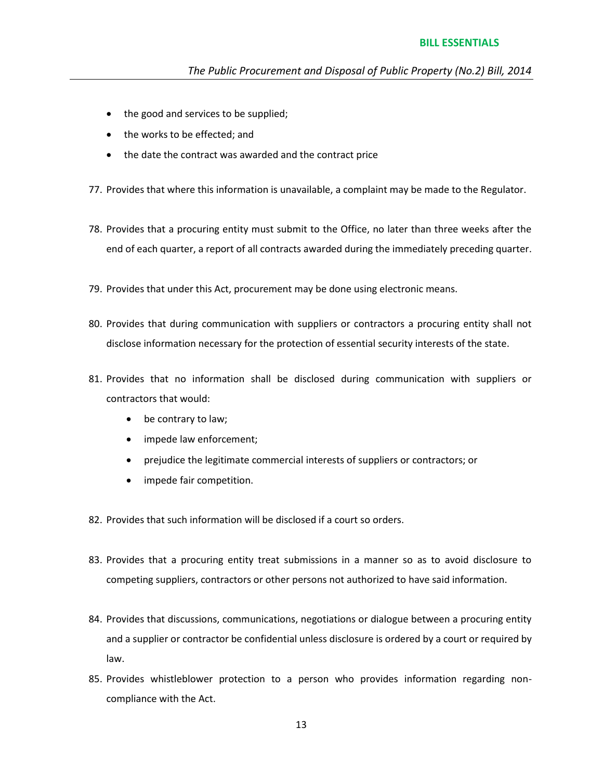- the good and services to be supplied;
- the works to be effected; and
- the date the contract was awarded and the contract price
- 77. Provides that where this information is unavailable, a complaint may be made to the Regulator.
- 78. Provides that a procuring entity must submit to the Office, no later than three weeks after the end of each quarter, a report of all contracts awarded during the immediately preceding quarter.
- 79. Provides that under this Act, procurement may be done using electronic means.
- 80. Provides that during communication with suppliers or contractors a procuring entity shall not disclose information necessary for the protection of essential security interests of the state.
- 81. Provides that no information shall be disclosed during communication with suppliers or contractors that would:
	- be contrary to law;
	- impede law enforcement;
	- prejudice the legitimate commercial interests of suppliers or contractors; or
	- impede fair competition.
- 82. Provides that such information will be disclosed if a court so orders.
- 83. Provides that a procuring entity treat submissions in a manner so as to avoid disclosure to competing suppliers, contractors or other persons not authorized to have said information.
- 84. Provides that discussions, communications, negotiations or dialogue between a procuring entity and a supplier or contractor be confidential unless disclosure is ordered by a court or required by law.
- 85. Provides whistleblower protection to a person who provides information regarding noncompliance with the Act.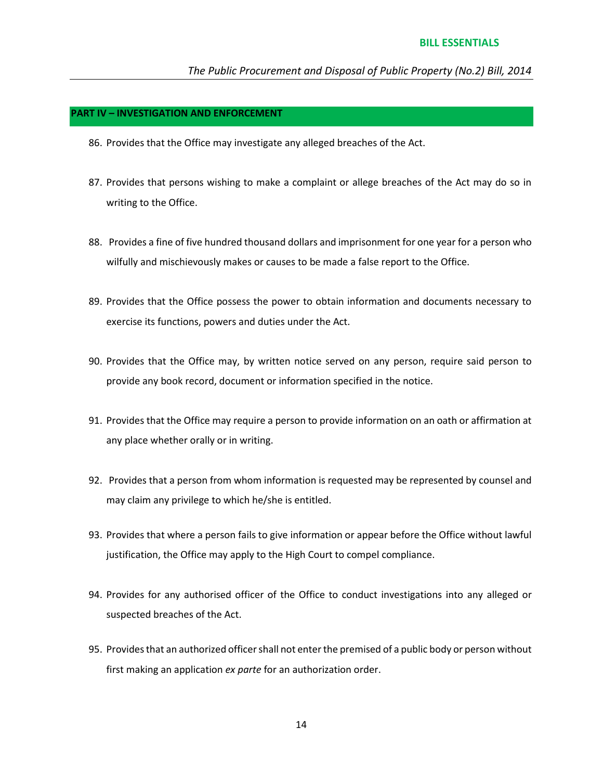#### *The Public Procurement and Disposal of Public Property (No.2) Bill, 2014*

#### **PART IV – INVESTIGATION AND ENFORCEMENT**

- 86. Provides that the Office may investigate any alleged breaches of the Act.
- 87. Provides that persons wishing to make a complaint or allege breaches of the Act may do so in writing to the Office.
- 88. Provides a fine of five hundred thousand dollars and imprisonment for one year for a person who wilfully and mischievously makes or causes to be made a false report to the Office.
- 89. Provides that the Office possess the power to obtain information and documents necessary to exercise its functions, powers and duties under the Act.
- 90. Provides that the Office may, by written notice served on any person, require said person to provide any book record, document or information specified in the notice.
- 91. Provides that the Office may require a person to provide information on an oath or affirmation at any place whether orally or in writing.
- 92. Provides that a person from whom information is requested may be represented by counsel and may claim any privilege to which he/she is entitled.
- 93. Provides that where a person fails to give information or appear before the Office without lawful justification, the Office may apply to the High Court to compel compliance.
- 94. Provides for any authorised officer of the Office to conduct investigations into any alleged or suspected breaches of the Act.
- 95. Provides that an authorized officer shall not enter the premised of a public body or person without first making an application *ex parte* for an authorization order.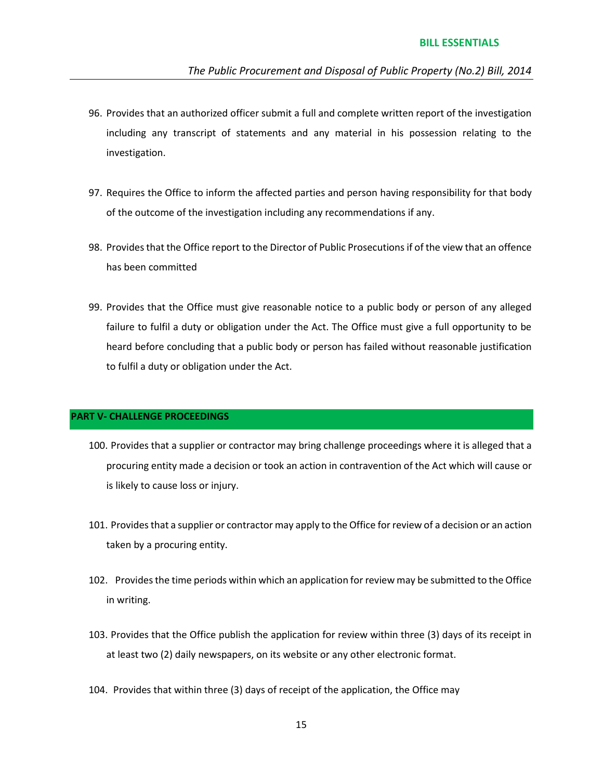- 96. Provides that an authorized officer submit a full and complete written report of the investigation including any transcript of statements and any material in his possession relating to the investigation.
- 97. Requires the Office to inform the affected parties and person having responsibility for that body of the outcome of the investigation including any recommendations if any.
- 98. Provides that the Office report to the Director of Public Prosecutions if of the view that an offence has been committed
- 99. Provides that the Office must give reasonable notice to a public body or person of any alleged failure to fulfil a duty or obligation under the Act. The Office must give a full opportunity to be heard before concluding that a public body or person has failed without reasonable justification to fulfil a duty or obligation under the Act.

#### **PART V- CHALLENGE PROCEEDINGS**

- 100. Provides that a supplier or contractor may bring challenge proceedings where it is alleged that a procuring entity made a decision or took an action in contravention of the Act which will cause or is likely to cause loss or injury.
- 101. Provides that a supplier or contractor may apply to the Office for review of a decision or an action taken by a procuring entity.
- 102. Provides the time periods within which an application for review may be submitted to the Office in writing.
- 103. Provides that the Office publish the application for review within three (3) days of its receipt in at least two (2) daily newspapers, on its website or any other electronic format.
- 104. Provides that within three (3) days of receipt of the application, the Office may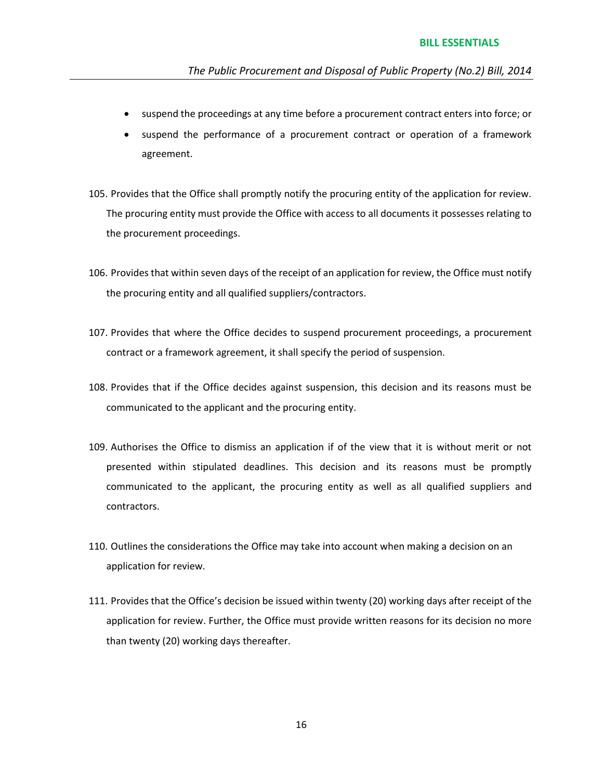- suspend the proceedings at any time before a procurement contract enters into force; or
- suspend the performance of a procurement contract or operation of a framework agreement.
- 105. Provides that the Office shall promptly notify the procuring entity of the application for review. The procuring entity must provide the Office with access to all documents it possesses relating to the procurement proceedings.
- 106. Provides that within seven days of the receipt of an application for review, the Office must notify the procuring entity and all qualified suppliers/contractors.
- 107. Provides that where the Office decides to suspend procurement proceedings, a procurement contract or a framework agreement, it shall specify the period of suspension.
- 108. Provides that if the Office decides against suspension, this decision and its reasons must be communicated to the applicant and the procuring entity.
- 109. Authorises the Office to dismiss an application if of the view that it is without merit or not presented within stipulated deadlines. This decision and its reasons must be promptly communicated to the applicant, the procuring entity as well as all qualified suppliers and contractors.
- 110. Outlines the considerations the Office may take into account when making a decision on an application for review.
- 111. Provides that the Office's decision be issued within twenty (20) working days after receipt of the application for review. Further, the Office must provide written reasons for its decision no more than twenty (20) working days thereafter.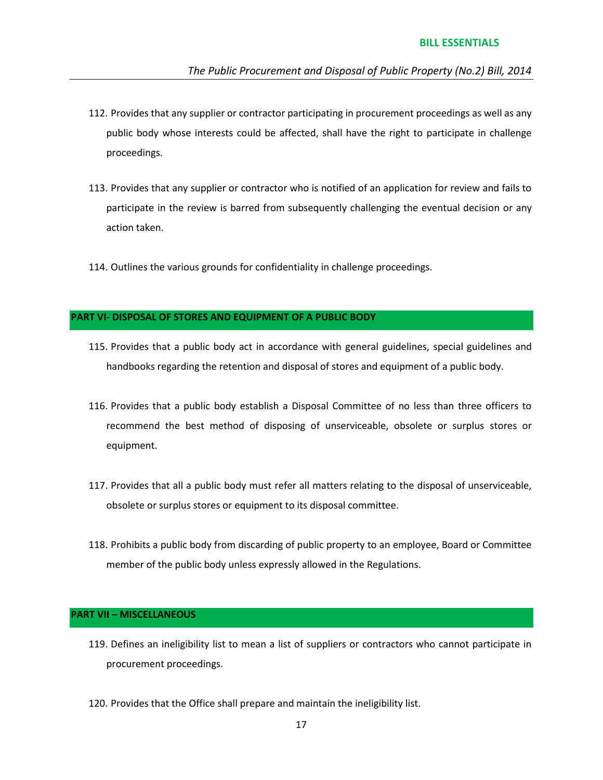#### *The Public Procurement and Disposal of Public Property (No.2) Bill, 2014*

- 112. Provides that any supplier or contractor participating in procurement proceedings as well as any public body whose interests could be affected, shall have the right to participate in challenge proceedings.
- 113. Provides that any supplier or contractor who is notified of an application for review and fails to participate in the review is barred from subsequently challenging the eventual decision or any action taken.
- 114. Outlines the various grounds for confidentiality in challenge proceedings.

#### **PART VI- DISPOSAL OF STORES AND EQUIPMENT OF A PUBLIC BODY**

- 115. Provides that a public body act in accordance with general guidelines, special guidelines and handbooks regarding the retention and disposal of stores and equipment of a public body.
- 116. Provides that a public body establish a Disposal Committee of no less than three officers to recommend the best method of disposing of unserviceable, obsolete or surplus stores or equipment.
- 117. Provides that all a public body must refer all matters relating to the disposal of unserviceable, obsolete or surplus stores or equipment to its disposal committee.
- 118. Prohibits a public body from discarding of public property to an employee, Board or Committee member of the public body unless expressly allowed in the Regulations.

#### **PART VII – MISCELLANEOUS**

- 119. Defines an ineligibility list to mean a list of suppliers or contractors who cannot participate in procurement proceedings.
- 120. Provides that the Office shall prepare and maintain the ineligibility list.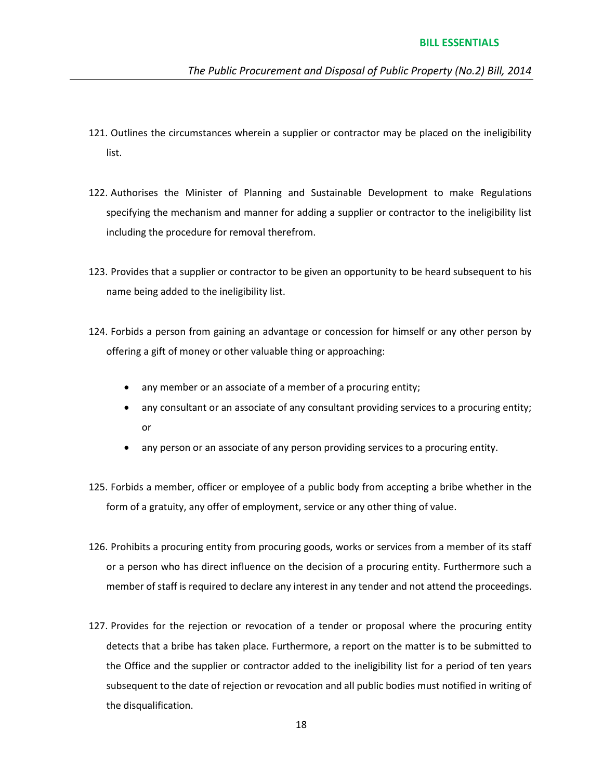- 121. Outlines the circumstances wherein a supplier or contractor may be placed on the ineligibility list.
- 122. Authorises the Minister of Planning and Sustainable Development to make Regulations specifying the mechanism and manner for adding a supplier or contractor to the ineligibility list including the procedure for removal therefrom.
- 123. Provides that a supplier or contractor to be given an opportunity to be heard subsequent to his name being added to the ineligibility list.
- 124. Forbids a person from gaining an advantage or concession for himself or any other person by offering a gift of money or other valuable thing or approaching:
	- any member or an associate of a member of a procuring entity;
	- any consultant or an associate of any consultant providing services to a procuring entity; or
	- any person or an associate of any person providing services to a procuring entity.
- 125. Forbids a member, officer or employee of a public body from accepting a bribe whether in the form of a gratuity, any offer of employment, service or any other thing of value.
- 126. Prohibits a procuring entity from procuring goods, works or services from a member of its staff or a person who has direct influence on the decision of a procuring entity. Furthermore such a member of staff is required to declare any interest in any tender and not attend the proceedings.
- 127. Provides for the rejection or revocation of a tender or proposal where the procuring entity detects that a bribe has taken place. Furthermore, a report on the matter is to be submitted to the Office and the supplier or contractor added to the ineligibility list for a period of ten years subsequent to the date of rejection or revocation and all public bodies must notified in writing of the disqualification.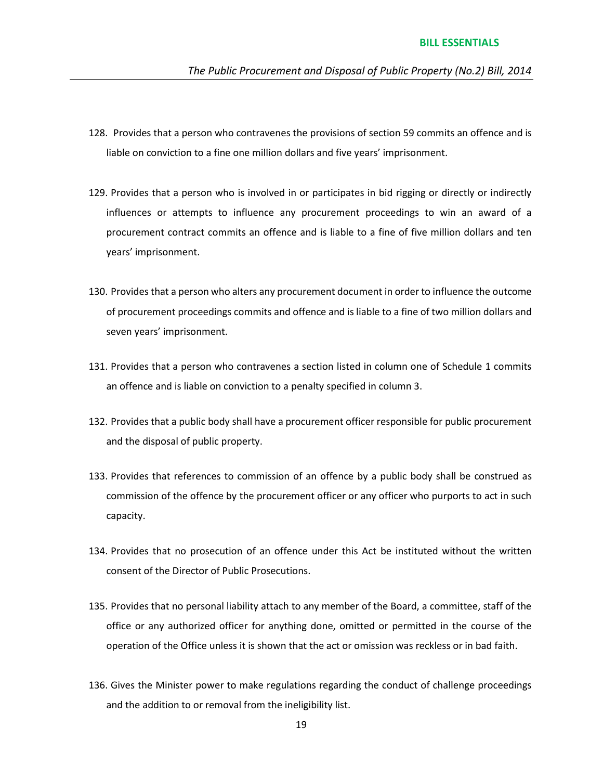- 128. Provides that a person who contravenes the provisions of section 59 commits an offence and is liable on conviction to a fine one million dollars and five years' imprisonment.
- 129. Provides that a person who is involved in or participates in bid rigging or directly or indirectly influences or attempts to influence any procurement proceedings to win an award of a procurement contract commits an offence and is liable to a fine of five million dollars and ten years' imprisonment.
- 130. Provides that a person who alters any procurement document in order to influence the outcome of procurement proceedings commits and offence and is liable to a fine of two million dollars and seven years' imprisonment.
- 131. Provides that a person who contravenes a section listed in column one of Schedule 1 commits an offence and is liable on conviction to a penalty specified in column 3.
- 132. Provides that a public body shall have a procurement officer responsible for public procurement and the disposal of public property.
- 133. Provides that references to commission of an offence by a public body shall be construed as commission of the offence by the procurement officer or any officer who purports to act in such capacity.
- 134. Provides that no prosecution of an offence under this Act be instituted without the written consent of the Director of Public Prosecutions.
- 135. Provides that no personal liability attach to any member of the Board, a committee, staff of the office or any authorized officer for anything done, omitted or permitted in the course of the operation of the Office unless it is shown that the act or omission was reckless or in bad faith.
- 136. Gives the Minister power to make regulations regarding the conduct of challenge proceedings and the addition to or removal from the ineligibility list.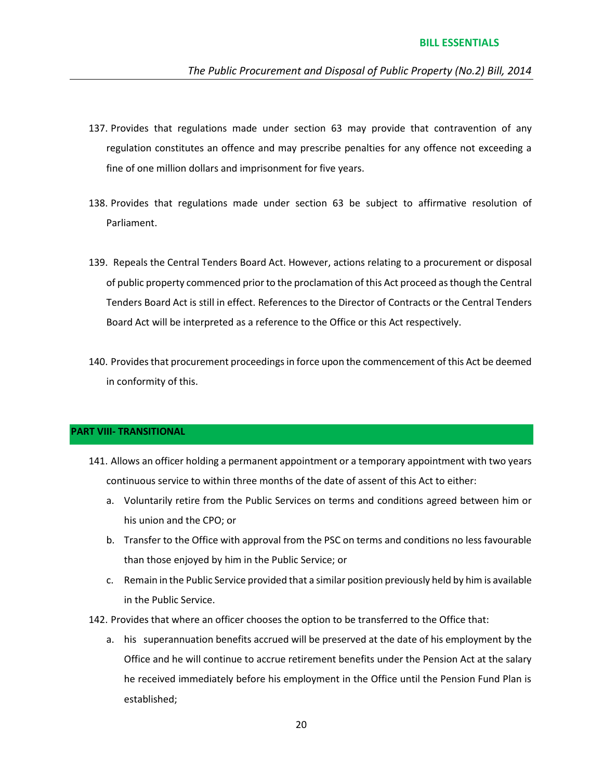- 137. Provides that regulations made under section 63 may provide that contravention of any regulation constitutes an offence and may prescribe penalties for any offence not exceeding a fine of one million dollars and imprisonment for five years.
- 138. Provides that regulations made under section 63 be subject to affirmative resolution of Parliament.
- 139. Repeals the Central Tenders Board Act. However, actions relating to a procurement or disposal of public property commenced prior to the proclamation of this Act proceed as though the Central Tenders Board Act is still in effect. References to the Director of Contracts or the Central Tenders Board Act will be interpreted as a reference to the Office or this Act respectively.
- 140. Provides that procurement proceedings in force upon the commencement of this Act be deemed in conformity of this.

#### **PART VIII- TRANSITIONAL**

- 141. Allows an officer holding a permanent appointment or a temporary appointment with two years continuous service to within three months of the date of assent of this Act to either:
	- a. Voluntarily retire from the Public Services on terms and conditions agreed between him or his union and the CPO; or
	- b. Transfer to the Office with approval from the PSC on terms and conditions no less favourable than those enjoyed by him in the Public Service; or
	- c. Remain in the Public Service provided that a similar position previously held by him is available in the Public Service.
- 142. Provides that where an officer chooses the option to be transferred to the Office that:
	- a. his superannuation benefits accrued will be preserved at the date of his employment by the Office and he will continue to accrue retirement benefits under the Pension Act at the salary he received immediately before his employment in the Office until the Pension Fund Plan is established;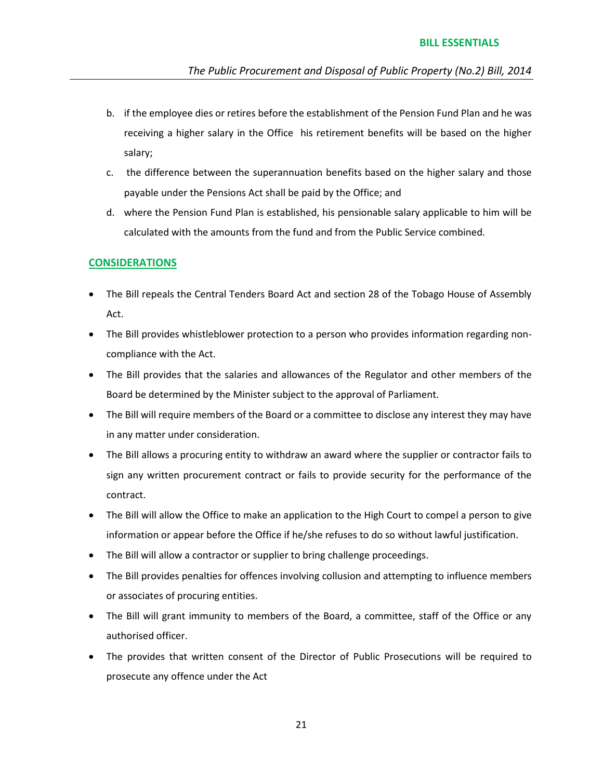- b. if the employee dies or retires before the establishment of the Pension Fund Plan and he was receiving a higher salary in the Office his retirement benefits will be based on the higher salary;
- c. the difference between the superannuation benefits based on the higher salary and those payable under the Pensions Act shall be paid by the Office; and
- d. where the Pension Fund Plan is established, his pensionable salary applicable to him will be calculated with the amounts from the fund and from the Public Service combined.

# **CONSIDERATIONS**

- The Bill repeals the Central Tenders Board Act and section 28 of the Tobago House of Assembly Act.
- The Bill provides whistleblower protection to a person who provides information regarding noncompliance with the Act.
- The Bill provides that the salaries and allowances of the Regulator and other members of the Board be determined by the Minister subject to the approval of Parliament.
- The Bill will require members of the Board or a committee to disclose any interest they may have in any matter under consideration.
- The Bill allows a procuring entity to withdraw an award where the supplier or contractor fails to sign any written procurement contract or fails to provide security for the performance of the contract.
- The Bill will allow the Office to make an application to the High Court to compel a person to give information or appear before the Office if he/she refuses to do so without lawful justification.
- The Bill will allow a contractor or supplier to bring challenge proceedings.
- The Bill provides penalties for offences involving collusion and attempting to influence members or associates of procuring entities.
- The Bill will grant immunity to members of the Board, a committee, staff of the Office or any authorised officer.
- The provides that written consent of the Director of Public Prosecutions will be required to prosecute any offence under the Act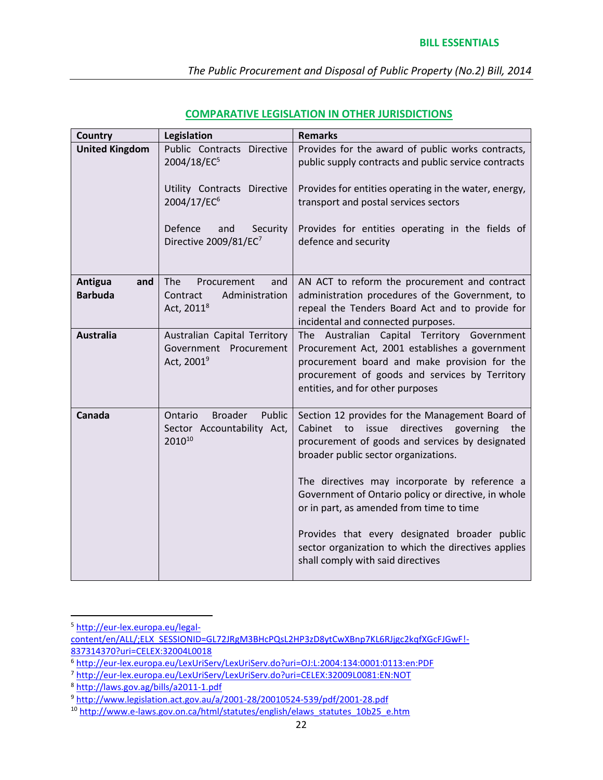| Country                                                                        | Legislation                                                                              | <b>Remarks</b>                                                                                                                                                                                                                         |
|--------------------------------------------------------------------------------|------------------------------------------------------------------------------------------|----------------------------------------------------------------------------------------------------------------------------------------------------------------------------------------------------------------------------------------|
| Public Contracts Directive<br><b>United Kingdom</b><br>2004/18/EC <sup>5</sup> |                                                                                          | Provides for the award of public works contracts,<br>public supply contracts and public service contracts                                                                                                                              |
|                                                                                | Utility Contracts Directive<br>2004/17/EC <sup>6</sup>                                   | Provides for entities operating in the water, energy,<br>transport and postal services sectors                                                                                                                                         |
|                                                                                | Defence<br>and<br>Security<br>Directive 2009/81/EC <sup>7</sup>                          | Provides for entities operating in the fields of<br>defence and security                                                                                                                                                               |
| Antigua<br>and<br><b>Barbuda</b>                                               | Procurement<br>and<br><b>The</b><br>Contract<br>Administration<br>Act, 2011 <sup>8</sup> | AN ACT to reform the procurement and contract<br>administration procedures of the Government, to<br>repeal the Tenders Board Act and to provide for<br>incidental and connected purposes.                                              |
| <b>Australia</b>                                                               | Australian Capital Territory<br>Government Procurement<br>Act, 2001 <sup>9</sup>         | The Australian<br>Capital Territory Government<br>Procurement Act, 2001 establishes a government<br>procurement board and make provision for the<br>procurement of goods and services by Territory<br>entities, and for other purposes |
| Canada                                                                         | <b>Broader</b><br>Public<br>Ontario<br>Sector Accountability Act,<br>201010              | Section 12 provides for the Management Board of<br>Cabinet<br>issue<br>directives<br>to<br>governing<br>the<br>procurement of goods and services by designated<br>broader public sector organizations.                                 |
|                                                                                |                                                                                          | The directives may incorporate by reference a<br>Government of Ontario policy or directive, in whole<br>or in part, as amended from time to time                                                                                       |
|                                                                                |                                                                                          | Provides that every designated broader public<br>sector organization to which the directives applies<br>shall comply with said directives                                                                                              |

#### **COMPARATIVE LEGISLATION IN OTHER JURISDICTIONS**

 $\overline{\phantom{a}}$ 

<sup>5</sup> [http://eur-lex.europa.eu/legal-](http://eur-lex.europa.eu/legal-content/en/ALL/;ELX_SESSIONID=GL72JRgM3BHcPQsL2HP3zD8ytCwXBnp7KL6RJjgc2kqfXGcFJGwF!-837314370?uri=CELEX:32004L0018)

[content/en/ALL/;ELX\\_SESSIONID=GL72JRgM3BHcPQsL2HP3zD8ytCwXBnp7KL6RJjgc2kqfXGcFJGwF!-](http://eur-lex.europa.eu/legal-content/en/ALL/;ELX_SESSIONID=GL72JRgM3BHcPQsL2HP3zD8ytCwXBnp7KL6RJjgc2kqfXGcFJGwF!-837314370?uri=CELEX:32004L0018) [837314370?uri=CELEX:32004L0018](http://eur-lex.europa.eu/legal-content/en/ALL/;ELX_SESSIONID=GL72JRgM3BHcPQsL2HP3zD8ytCwXBnp7KL6RJjgc2kqfXGcFJGwF!-837314370?uri=CELEX:32004L0018)

<sup>6</sup> <http://eur-lex.europa.eu/LexUriServ/LexUriServ.do?uri=OJ:L:2004:134:0001:0113:en:PDF>

<sup>7</sup> <http://eur-lex.europa.eu/LexUriServ/LexUriServ.do?uri=CELEX:32009L0081:EN:NOT>

<sup>8</sup> <http://laws.gov.ag/bills/a2011-1.pdf>

<sup>9</sup> <http://www.legislation.act.gov.au/a/2001-28/20010524-539/pdf/2001-28.pdf>

<sup>10</sup> [http://www.e-laws.gov.on.ca/html/statutes/english/elaws\\_statutes\\_10b25\\_e.htm](http://www.e-laws.gov.on.ca/html/statutes/english/elaws_statutes_10b25_e.htm)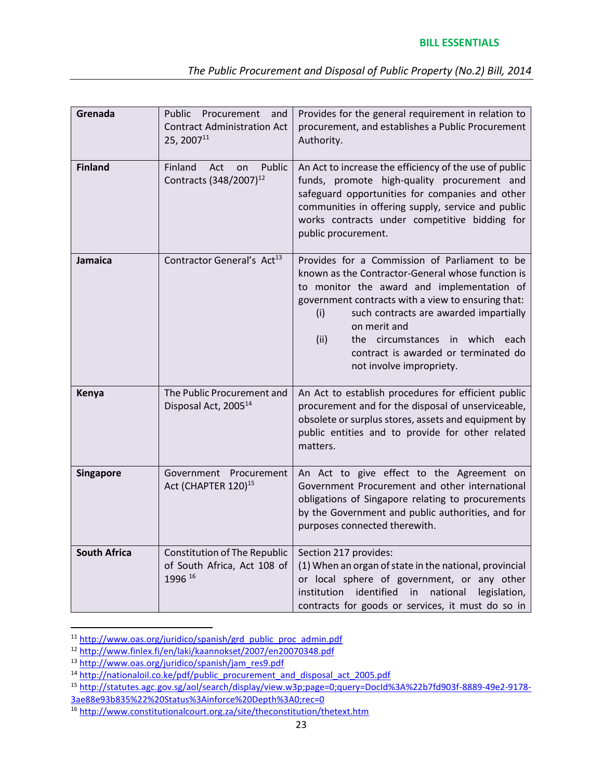# *The Public Procurement and Disposal of Public Property (No.2) Bill, 2014*

| Grenada             | Public<br>Procurement<br>and<br><b>Contract Administration Act</b><br>25, 200711 | Provides for the general requirement in relation to<br>procurement, and establishes a Public Procurement<br>Authority.                                                                                                                                                                                                                                                                    |
|---------------------|----------------------------------------------------------------------------------|-------------------------------------------------------------------------------------------------------------------------------------------------------------------------------------------------------------------------------------------------------------------------------------------------------------------------------------------------------------------------------------------|
| <b>Finland</b>      | Finland<br>Public<br>Act<br>on<br>Contracts (348/2007) <sup>12</sup>             | An Act to increase the efficiency of the use of public<br>funds, promote high-quality procurement and<br>safeguard opportunities for companies and other<br>communities in offering supply, service and public<br>works contracts under competitive bidding for<br>public procurement.                                                                                                    |
| Jamaica             | Contractor General's Act <sup>13</sup>                                           | Provides for a Commission of Parliament to be<br>known as the Contractor-General whose function is<br>to monitor the award and implementation of<br>government contracts with a view to ensuring that:<br>(i)<br>such contracts are awarded impartially<br>on merit and<br>(ii)<br>the circumstances in which<br>each<br>contract is awarded or terminated do<br>not involve impropriety. |
| Kenya               | The Public Procurement and<br>Disposal Act, 2005 <sup>14</sup>                   | An Act to establish procedures for efficient public<br>procurement and for the disposal of unserviceable,<br>obsolete or surplus stores, assets and equipment by<br>public entities and to provide for other related<br>matters.                                                                                                                                                          |
| <b>Singapore</b>    | Government<br>Procurement<br>Act (CHAPTER 120) <sup>15</sup>                     | An Act to give effect to the Agreement on<br>Government Procurement and other international<br>obligations of Singapore relating to procurements<br>by the Government and public authorities, and for<br>purposes connected therewith.                                                                                                                                                    |
| <b>South Africa</b> | <b>Constitution of The Republic</b><br>of South Africa, Act 108 of<br>1996 16    | Section 217 provides:<br>(1) When an organ of state in the national, provincial<br>or local sphere of government, or any other<br>institution<br>identified<br>in<br>national<br>legislation,<br>contracts for goods or services, it must do so in                                                                                                                                        |

<sup>&</sup>lt;sup>11</sup> [http://www.oas.org/juridico/spanish/grd\\_public\\_proc\\_admin.pdf](http://www.oas.org/juridico/spanish/grd_public_proc_admin.pdf)

 $\overline{a}$ 

<sup>12</sup> <http://www.finlex.fi/en/laki/kaannokset/2007/en20070348.pdf>

<sup>13</sup> [http://www.oas.org/juridico/spanish/jam\\_res9.pdf](http://www.oas.org/juridico/spanish/jam_res9.pdf)

<sup>&</sup>lt;sup>14</sup> [http://nationaloil.co.ke/pdf/public\\_procurement\\_and\\_disposal\\_act\\_2005.pdf](http://nationaloil.co.ke/pdf/public_procurement_and_disposal_act_2005.pdf)

<sup>15</sup> [http://statutes.agc.gov.sg/aol/search/display/view.w3p;page=0;query=DocId%3A%22b7fd903f-8889-49e2-9178-](http://statutes.agc.gov.sg/aol/search/display/view.w3p;page=0;query=DocId%3A%22b7fd903f-8889-49e2-9178-3ae88e93b835%22%20Status%3Ainforce%20Depth%3A0;rec=0)

[<sup>3</sup>ae88e93b835%22%20Status%3Ainforce%20Depth%3A0;rec=0](http://statutes.agc.gov.sg/aol/search/display/view.w3p;page=0;query=DocId%3A%22b7fd903f-8889-49e2-9178-3ae88e93b835%22%20Status%3Ainforce%20Depth%3A0;rec=0)

<sup>16</sup> <http://www.constitutionalcourt.org.za/site/theconstitution/thetext.htm>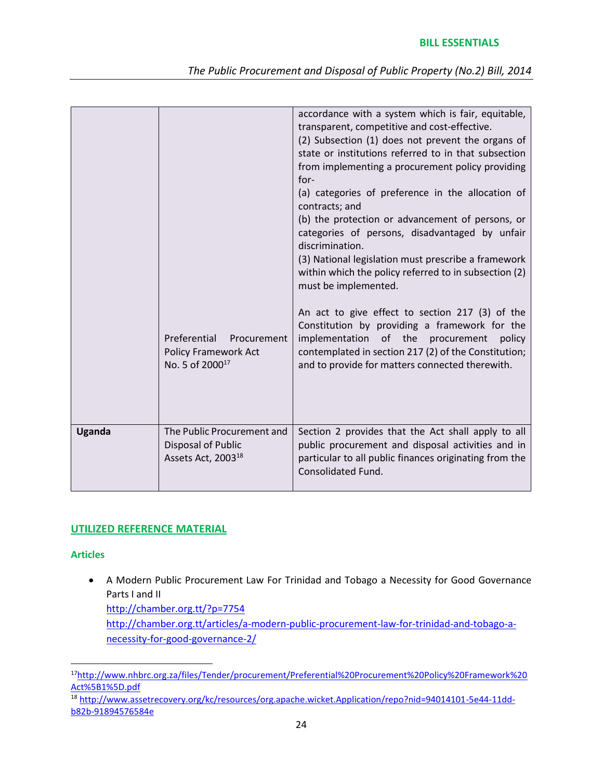| The Public Procurement and Disposal of Public Property (No.2) Bill, 2014 |  |  |
|--------------------------------------------------------------------------|--|--|
|--------------------------------------------------------------------------|--|--|

|        | Preferential<br>Procurement<br>Policy Framework Act<br>No. 5 of 2000 <sup>17</sup> | accordance with a system which is fair, equitable,<br>transparent, competitive and cost-effective.<br>(2) Subsection (1) does not prevent the organs of<br>state or institutions referred to in that subsection<br>from implementing a procurement policy providing<br>$for-$<br>(a) categories of preference in the allocation of<br>contracts; and<br>(b) the protection or advancement of persons, or<br>categories of persons, disadvantaged by unfair<br>discrimination.<br>(3) National legislation must prescribe a framework<br>within which the policy referred to in subsection (2)<br>must be implemented.<br>An act to give effect to section 217 (3) of the<br>Constitution by providing a framework for the<br>implementation of the procurement<br>policy<br>contemplated in section 217 (2) of the Constitution;<br>and to provide for matters connected therewith. |
|--------|------------------------------------------------------------------------------------|-------------------------------------------------------------------------------------------------------------------------------------------------------------------------------------------------------------------------------------------------------------------------------------------------------------------------------------------------------------------------------------------------------------------------------------------------------------------------------------------------------------------------------------------------------------------------------------------------------------------------------------------------------------------------------------------------------------------------------------------------------------------------------------------------------------------------------------------------------------------------------------|
| Uganda | The Public Procurement and<br>Disposal of Public<br>Assets Act, 2003 <sup>18</sup> | Section 2 provides that the Act shall apply to all<br>public procurement and disposal activities and in<br>particular to all public finances originating from the<br>Consolidated Fund.                                                                                                                                                                                                                                                                                                                                                                                                                                                                                                                                                                                                                                                                                             |

# **UTILIZED REFERENCE MATERIAL**

#### **Articles**

 $\overline{a}$ 

 A Modern Public Procurement Law For Trinidad and Tobago a Necessity for Good Governance Parts I and II <http://chamber.org.tt/?p=7754> [http://chamber.org.tt/articles/a-modern-public-procurement-law-for-trinidad-and-tobago-a](http://chamber.org.tt/articles/a-modern-public-procurement-law-for-trinidad-and-tobago-a-necessity-for-good-governance-2/)[necessity-for-good-governance-2/](http://chamber.org.tt/articles/a-modern-public-procurement-law-for-trinidad-and-tobago-a-necessity-for-good-governance-2/) 

<sup>17</sup>[http://www.nhbrc.org.za/files/Tender/procurement/Preferential%20Procurement%20Policy%20Framework%20](http://www.nhbrc.org.za/files/Tender/procurement/Preferential%20Procurement%20Policy%20Framework%20Act%5B1%5D.pdf) [Act%5B1%5D.pdf](http://www.nhbrc.org.za/files/Tender/procurement/Preferential%20Procurement%20Policy%20Framework%20Act%5B1%5D.pdf)

<sup>18</sup> [http://www.assetrecovery.org/kc/resources/org.apache.wicket.Application/repo?nid=94014101-5e44-11dd](http://www.assetrecovery.org/kc/resources/org.apache.wicket.Application/repo?nid=94014101-5e44-11dd-b82b-91894576584e)[b82b-91894576584e](http://www.assetrecovery.org/kc/resources/org.apache.wicket.Application/repo?nid=94014101-5e44-11dd-b82b-91894576584e)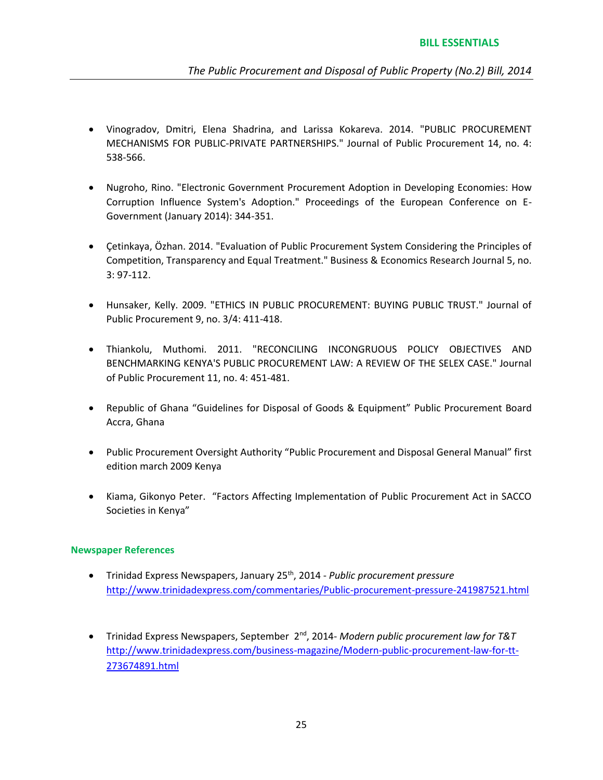# *The Public Procurement and Disposal of Public Property (No.2) Bill, 2014*

- Vinogradov, Dmitri, Elena Shadrina, and Larissa Kokareva. 2014. "PUBLIC PROCUREMENT MECHANISMS FOR PUBLIC-PRIVATE PARTNERSHIPS." Journal of Public Procurement 14, no. 4: 538-566.
- Nugroho, Rino. "Electronic Government Procurement Adoption in Developing Economies: How Corruption Influence System's Adoption." Proceedings of the European Conference on E-Government (January 2014): 344-351.
- Çetinkaya, Özhan. 2014. "Evaluation of Public Procurement System Considering the Principles of Competition, Transparency and Equal Treatment." Business & Economics Research Journal 5, no. 3: 97-112.
- Hunsaker, Kelly. 2009. "ETHICS IN PUBLIC PROCUREMENT: BUYING PUBLIC TRUST." Journal of Public Procurement 9, no. 3/4: 411-418.
- Thiankolu, Muthomi. 2011. "RECONCILING INCONGRUOUS POLICY OBJECTIVES AND BENCHMARKING KENYA'S PUBLIC PROCUREMENT LAW: A REVIEW OF THE SELEX CASE." Journal of Public Procurement 11, no. 4: 451-481.
- Republic of Ghana "Guidelines for Disposal of Goods & Equipment" Public Procurement Board Accra, Ghana
- Public Procurement Oversight Authority "Public Procurement and Disposal General Manual" first edition march 2009 Kenya
- Kiama, Gikonyo Peter. "Factors Affecting Implementation of Public Procurement Act in SACCO Societies in Kenya"

#### **Newspaper References**

- Trinidad Express Newspapers, January 25th, 2014 *Public procurement pressure* <http://www.trinidadexpress.com/commentaries/Public-procurement-pressure-241987521.html>
- Trinidad Express Newspapers, September 2<sup>nd</sup>, 2014- Modern public procurement law for T&T [http://www.trinidadexpress.com/business-magazine/Modern-public-procurement-law-for-tt-](http://www.trinidadexpress.com/business-magazine/Modern-public-procurement-law-for-tt-273674891.html)[273674891.html](http://www.trinidadexpress.com/business-magazine/Modern-public-procurement-law-for-tt-273674891.html)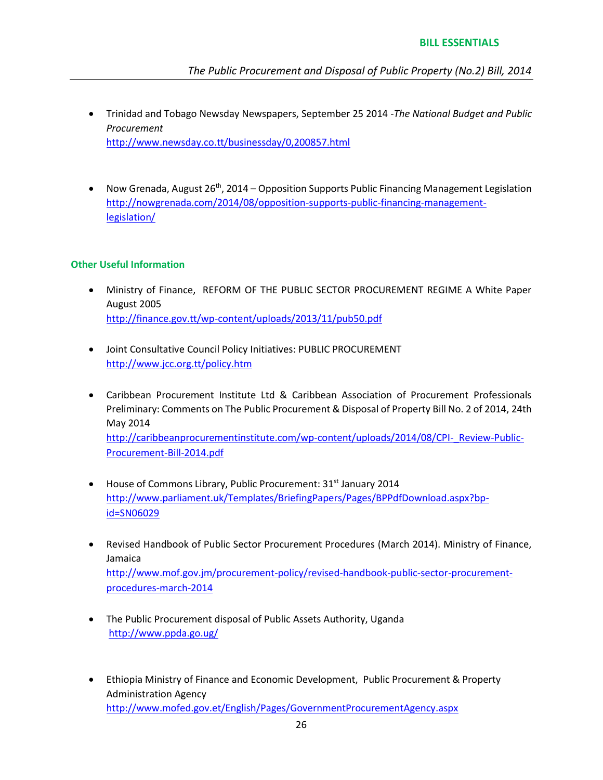- Trinidad and Tobago Newsday Newspapers, September 25 2014 *-The National Budget and Public Procurement* <http://www.newsday.co.tt/businessday/0,200857.html>
- Now Grenada, August  $26<sup>th</sup>$ , 2014 Opposition Supports Public Financing Management Legislation [http://nowgrenada.com/2014/08/opposition-supports-public-financing-management](http://nowgrenada.com/2014/08/opposition-supports-public-financing-management-legislation/)[legislation/](http://nowgrenada.com/2014/08/opposition-supports-public-financing-management-legislation/)

# **Other Useful Information**

- Ministry of Finance, REFORM OF THE PUBLIC SECTOR PROCUREMENT REGIME A White Paper August 2005 <http://finance.gov.tt/wp-content/uploads/2013/11/pub50.pdf>
- Joint Consultative Council Policy Initiatives: PUBLIC PROCUREMENT <http://www.jcc.org.tt/policy.htm>
- Caribbean Procurement Institute Ltd & Caribbean Association of Procurement Professionals Preliminary: Comments on The Public Procurement & Disposal of Property Bill No. 2 of 2014, 24th May 2014 [http://caribbeanprocurementinstitute.com/wp-content/uploads/2014/08/CPI-\\_Review-Public-](http://caribbeanprocurementinstitute.com/wp-content/uploads/2014/08/CPI-_Review-Public-Procurement-Bill-2014.pdf)[Procurement-Bill-2014.pdf](http://caribbeanprocurementinstitute.com/wp-content/uploads/2014/08/CPI-_Review-Public-Procurement-Bill-2014.pdf)
- House of Commons Library, Public Procurement: 31<sup>st</sup> January 2014 [http://www.parliament.uk/Templates/BriefingPapers/Pages/BPPdfDownload.aspx?bp](http://www.parliament.uk/Templates/BriefingPapers/Pages/BPPdfDownload.aspx?bp-id=SN06029)[id=SN06029](http://www.parliament.uk/Templates/BriefingPapers/Pages/BPPdfDownload.aspx?bp-id=SN06029)
- Revised Handbook of Public Sector Procurement Procedures (March 2014). Ministry of Finance, Jamaica [http://www.mof.gov.jm/procurement-policy/revised-handbook-public-sector-procurement](http://www.mof.gov.jm/procurement-policy/revised-handbook-public-sector-procurement-procedures-march-2014)[procedures-march-2014](http://www.mof.gov.jm/procurement-policy/revised-handbook-public-sector-procurement-procedures-march-2014)
- The Public Procurement disposal of Public Assets Authority, Uganda <http://www.ppda.go.ug/>
- Ethiopia Ministry of Finance and Economic Development, Public Procurement & Property Administration Agency <http://www.mofed.gov.et/English/Pages/GovernmentProcurementAgency.aspx>